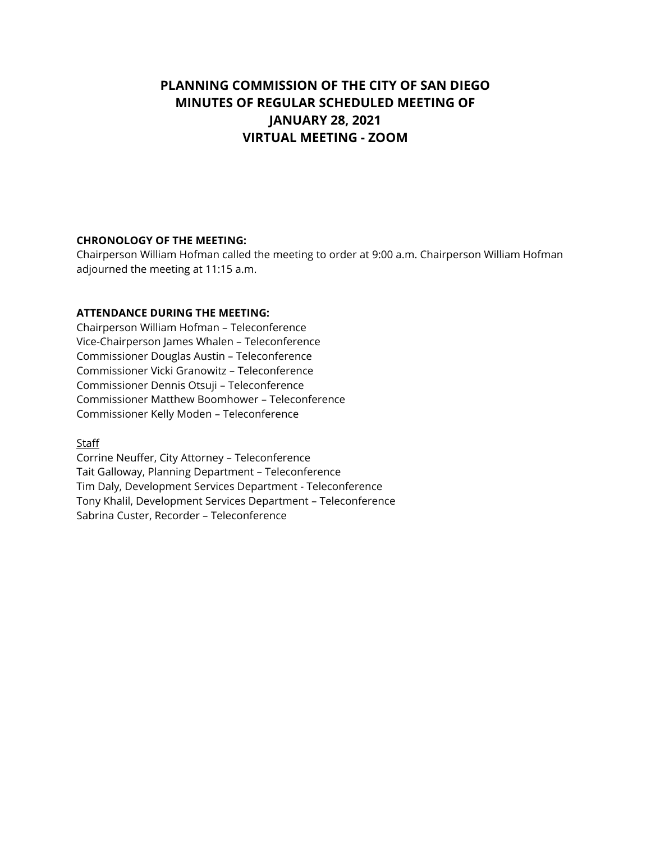# **PLANNING COMMISSION OF THE CITY OF SAN DIEGO MINUTES OF REGULAR SCHEDULED MEETING OF JANUARY 28, 2021 VIRTUAL MEETING - ZOOM**

#### **CHRONOLOGY OF THE MEETING:**

Chairperson William Hofman called the meeting to order at 9:00 a.m. Chairperson William Hofman adjourned the meeting at 11:15 a.m.

#### **ATTENDANCE DURING THE MEETING:**

Chairperson William Hofman – Teleconference Vice-Chairperson James Whalen – Teleconference Commissioner Douglas Austin – Teleconference Commissioner Vicki Granowitz – Teleconference Commissioner Dennis Otsuji – Teleconference Commissioner Matthew Boomhower – Teleconference Commissioner Kelly Moden – Teleconference

**Staff** 

Corrine Neuffer, City Attorney – Teleconference Tait Galloway, Planning Department – Teleconference Tim Daly, Development Services Department - Teleconference Tony Khalil, Development Services Department – Teleconference Sabrina Custer, Recorder – Teleconference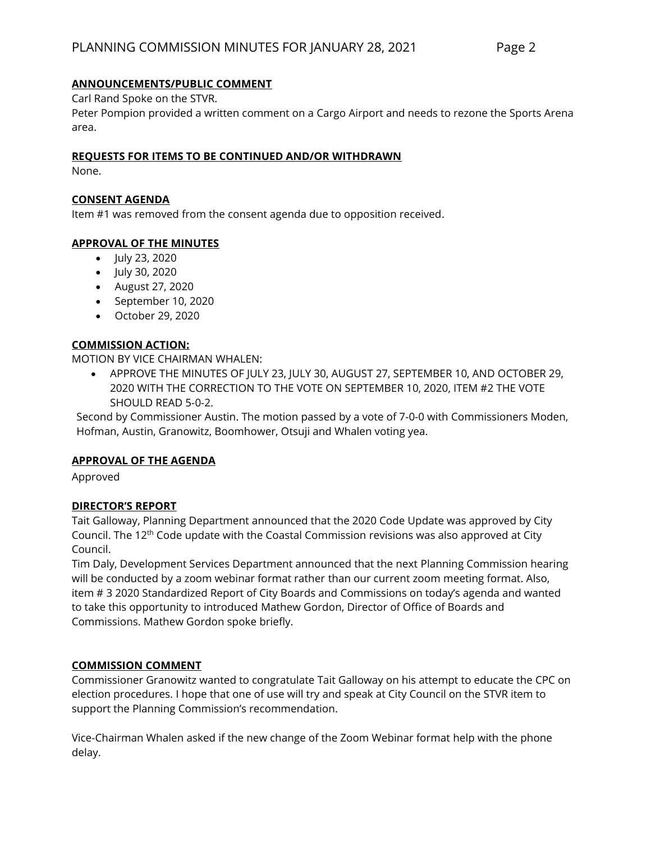## **ANNOUNCEMENTS/PUBLIC COMMENT**

Carl Rand Spoke on the STVR.

Peter Pompion provided a written comment on a Cargo Airport and needs to rezone the Sports Arena area.

#### **REQUESTS FOR ITEMS TO BE CONTINUED AND/OR WITHDRAWN**

None.

#### **CONSENT AGENDA**

Item #1 was removed from the consent agenda due to opposition received.

## **APPROVAL OF THE MINUTES**

- July 23, 2020
- July 30, 2020
- August 27, 2020
- September 10, 2020
- October 29, 2020

## **COMMISSION ACTION:**

MOTION BY VICE CHAIRMAN WHALEN:

• APPROVE THE MINUTES OF JULY 23, JULY 30, AUGUST 27, SEPTEMBER 10, AND OCTOBER 29, 2020 WITH THE CORRECTION TO THE VOTE ON SEPTEMBER 10, 2020, ITEM #2 THE VOTE SHOULD READ 5-0-2.

Second by Commissioner Austin. The motion passed by a vote of 7-0-0 with Commissioners Moden, Hofman, Austin, Granowitz, Boomhower, Otsuji and Whalen voting yea.

## **APPROVAL OF THE AGENDA**

Approved

## **DIRECTOR'S REPORT**

Tait Galloway, Planning Department announced that the 2020 Code Update was approved by City Council. The 12th Code update with the Coastal Commission revisions was also approved at City Council.

Tim Daly, Development Services Department announced that the next Planning Commission hearing will be conducted by a zoom webinar format rather than our current zoom meeting format. Also, item # 3 2020 Standardized Report of City Boards and Commissions on today's agenda and wanted to take this opportunity to introduced Mathew Gordon, Director of Office of Boards and Commissions. Mathew Gordon spoke briefly.

## **COMMISSION COMMENT**

Commissioner Granowitz wanted to congratulate Tait Galloway on his attempt to educate the CPC on election procedures. I hope that one of use will try and speak at City Council on the STVR item to support the Planning Commission's recommendation.

Vice-Chairman Whalen asked if the new change of the Zoom Webinar format help with the phone delay.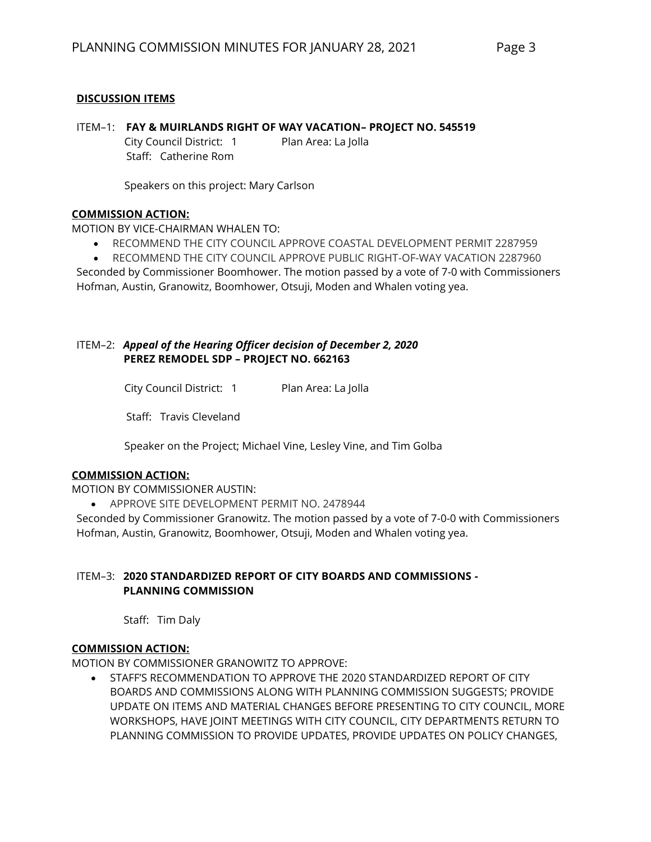## **DISCUSSION ITEMS**

## ITEM–1: **FAY & MUIRLANDS RIGHT OF WAY VACATION– PROJECT NO. 545519**

Staff: Catherine Rom

City Council District: 1 Plan Area: La Jolla

Speakers on this project: Mary Carlson

## **COMMISSION ACTION:**

MOTION BY VICE-CHAIRMAN WHALEN TO:

- RECOMMEND THE CITY COUNCIL APPROVE COASTAL DEVELOPMENT PERMIT 2287959
- RECOMMEND THE CITY COUNCIL APPROVE PUBLIC RIGHT-OF-WAY VACATION 2287960

Seconded by Commissioner Boomhower. The motion passed by a vote of 7-0 with Commissioners Hofman, Austin, Granowitz, Boomhower, Otsuji, Moden and Whalen voting yea.

#### ITEM–2: *Appeal of the Hearing Officer decision of December 2, 2020* **PEREZ REMODEL SDP – PROJECT NO. 662163**

City Council District: 1 Plan Area: La Jolla

Staff: Travis Cleveland

Speaker on the Project; Michael Vine, Lesley Vine, and Tim Golba

#### **COMMISSION ACTION:**

MOTION BY COMMISSIONER AUSTIN:

• APPROVE SITE DEVELOPMENT PERMIT NO. 2478944

Seconded by Commissioner Granowitz. The motion passed by a vote of 7-0-0 with Commissioners Hofman, Austin, Granowitz, Boomhower, Otsuji, Moden and Whalen voting yea.

## ITEM–3: **2020 STANDARDIZED REPORT OF CITY BOARDS AND COMMISSIONS - PLANNING COMMISSION**

Staff: Tim Daly

#### **COMMISSION ACTION:**

MOTION BY COMMISSIONER GRANOWITZ TO APPROVE:

• STAFF'S RECOMMENDATION TO APPROVE THE 2020 STANDARDIZED REPORT OF CITY BOARDS AND COMMISSIONS ALONG WITH PLANNING COMMISSION SUGGESTS; PROVIDE UPDATE ON ITEMS AND MATERIAL CHANGES BEFORE PRESENTING TO CITY COUNCIL, MORE WORKSHOPS, HAVE JOINT MEETINGS WITH CITY COUNCIL, CITY DEPARTMENTS RETURN TO PLANNING COMMISSION TO PROVIDE UPDATES, PROVIDE UPDATES ON POLICY CHANGES,